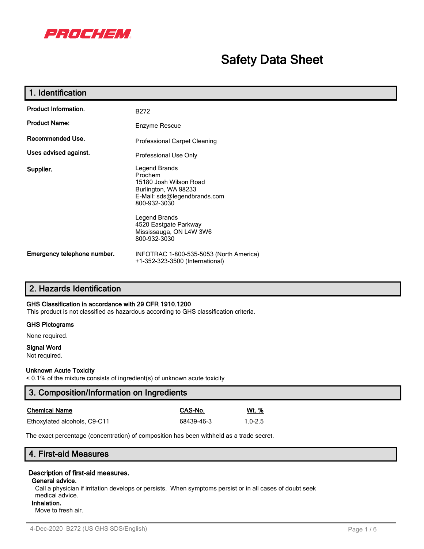

# **Safety Data Sheet**

| 1. Identification           |                                                                                                                                                                                                                 |  |  |
|-----------------------------|-----------------------------------------------------------------------------------------------------------------------------------------------------------------------------------------------------------------|--|--|
| <b>Product Information.</b> | B <sub>272</sub>                                                                                                                                                                                                |  |  |
| <b>Product Name:</b>        | Enzyme Rescue                                                                                                                                                                                                   |  |  |
| Recommended Use.            | <b>Professional Carpet Cleaning</b>                                                                                                                                                                             |  |  |
| Uses advised against.       | Professional Use Only                                                                                                                                                                                           |  |  |
| Supplier.                   | Legend Brands<br>Prochem<br>15180 Josh Wilson Road<br>Burlington, WA 98233<br>E-Mail: sds@legendbrands.com<br>800-932-3030<br>Legend Brands<br>4520 Eastgate Parkway<br>Mississauga, ON L4W 3W6<br>800-932-3030 |  |  |
| Emergency telephone number. | INFOTRAC 1-800-535-5053 (North America)<br>+1-352-323-3500 (International)                                                                                                                                      |  |  |

# **2. Hazards Identification**

### **GHS Classification in accordance with 29 CFR 1910.1200**

This product is not classified as hazardous according to GHS classification criteria.

### **GHS Pictograms**

None required.

### **Signal Word**

Not required.

### **Unknown Acute Toxicity**

< 0.1% of the mixture consists of ingredient(s) of unknown acute toxicity

| 3. Composition/Information on Ingredients |            |              |  |
|-------------------------------------------|------------|--------------|--|
| <b>Chemical Name</b>                      | CAS-No.    | <u>Wt. %</u> |  |
| Ethoxylated alcohols, C9-C11              | 68439-46-3 | $1.0 - 2.5$  |  |

The exact percentage (concentration) of composition has been withheld as a trade secret.

# **4. First-aid Measures**

### **Description of first-aid measures.**

### **General advice.**

Call a physician if irritation develops or persists. When symptoms persist or in all cases of doubt seek medical advice.

**Inhalation.** Move to fresh air.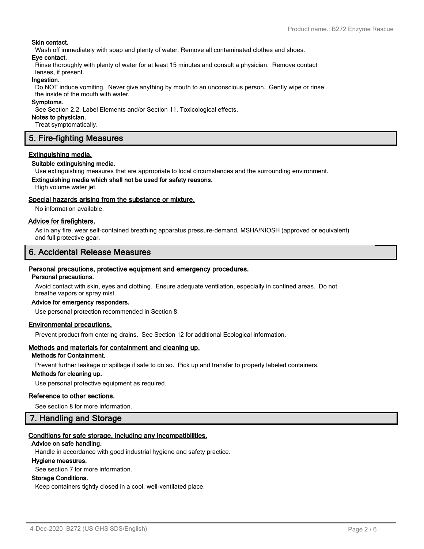### **Skin contact.**

Wash off immediately with soap and plenty of water. Remove all contaminated clothes and shoes.

### **Eye contact.**

Rinse thoroughly with plenty of water for at least 15 minutes and consult a physician. Remove contact lenses, if present.

### **Ingestion.**

Do NOT induce vomiting. Never give anything by mouth to an unconscious person. Gently wipe or rinse the inside of the mouth with water.

### **Symptoms.**

See Section 2.2, Label Elements and/or Section 11, Toxicological effects.

#### **Notes to physician.**

Treat symptomatically.

# **5. Fire-fighting Measures**

### **Extinguishing media.**

### **Suitable extinguishing media.**

Use extinguishing measures that are appropriate to local circumstances and the surrounding environment.

### **Extinguishing media which shall not be used for safety reasons.**

High volume water jet.

### **Special hazards arising from the substance or mixture.**

No information available.

### **Advice for firefighters.**

As in any fire, wear self-contained breathing apparatus pressure-demand, MSHA/NIOSH (approved or equivalent) and full protective gear.

# **6. Accidental Release Measures**

### **Personal precautions, protective equipment and emergency procedures.**

### **Personal precautions.**

Avoid contact with skin, eyes and clothing. Ensure adequate ventilation, especially in confined areas. Do not breathe vapors or spray mist.

### **Advice for emergency responders.**

Use personal protection recommended in Section 8.

### **Environmental precautions.**

Prevent product from entering drains. See Section 12 for additional Ecological information.

### **Methods and materials for containment and cleaning up.**

### **Methods for Containment.**

Prevent further leakage or spillage if safe to do so. Pick up and transfer to properly labeled containers.

### **Methods for cleaning up.**

Use personal protective equipment as required.

### **Reference to other sections.**

See section 8 for more information.

### **7. Handling and Storage**

# **Conditions for safe storage, including any incompatibilities.**

# **Advice on safe handling.**

Handle in accordance with good industrial hygiene and safety practice.

### **Hygiene measures.**

See section 7 for more information.

### **Storage Conditions.**

Keep containers tightly closed in a cool, well-ventilated place.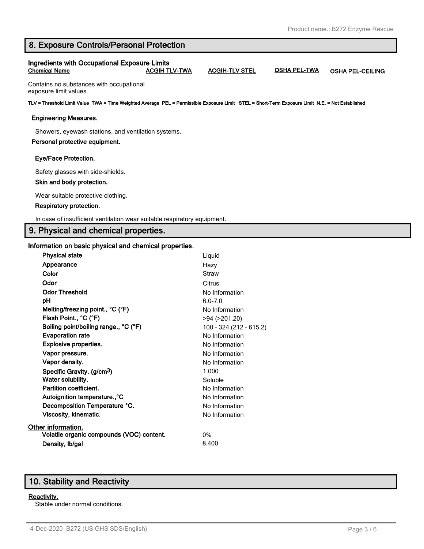# **8. Exposure Controls/Personal Protection**

### **Ingredients with Occupational Exposure Limits Chemical Name ACGIH TLV-TWA ACGIH-TLV STEL OSHA PEL-TWA OSHA PEL-CEILING**

Contains no substances with occupational exposure limit values.

**TLV = Threshold Limit Value TWA = Time Weighted Average PEL = Permissible Exposure Limit STEL = Short-Term Exposure Limit N.E. = Not Established**

### **Engineering Measures.**

Showers, eyewash stations, and ventilation systems.

### **Personal protective equipment.**

### **Eye/Face Protection.**

Safety glasses with side-shields.

### **Skin and body protection.**

Wear suitable protective clothing.

### **Respiratory protection.**

In case of insufficient ventilation wear suitable respiratory equipment.

## **9. Physical and chemical properties.**

### **Information on basic physical and chemical properties.**

| <b>Physical state</b>                     | Liquid                  |
|-------------------------------------------|-------------------------|
| Appearance                                | Hazy                    |
| Color                                     | Straw                   |
| Odor                                      | Citrus                  |
| <b>Odor Threshold</b>                     | No Information          |
| рH                                        | $6.0 - 7.0$             |
| Melting/freezing point., °C (°F)          | No Information          |
| Flash Point., °C (°F)                     | >94 (>201.20)           |
| Boiling point/boiling range., °C (°F)     | 100 - 324 (212 - 615.2) |
| <b>Evaporation rate</b>                   | No Information          |
| <b>Explosive properties.</b>              | No Information          |
| Vapor pressure.                           | No Information          |
| Vapor density.                            | No Information          |
| Specific Gravity. (g/cm <sup>3</sup> )    | 1.000                   |
| Water solubility.                         | Soluble                 |
| Partition coefficient.                    | No Information          |
| Autoignition temperature., °C             | No Information          |
| Decomposition Temperature °C.             | No Information          |
| <b>Viscosity, kinematic.</b>              | No Information          |
| Other information.                        |                         |
| Volatile organic compounds (VOC) content. | 0%                      |
| Density, Ib/gal                           | 8.400                   |
|                                           |                         |

# **10. Stability and Reactivity**

### **Reactivity.**

Stable under normal conditions.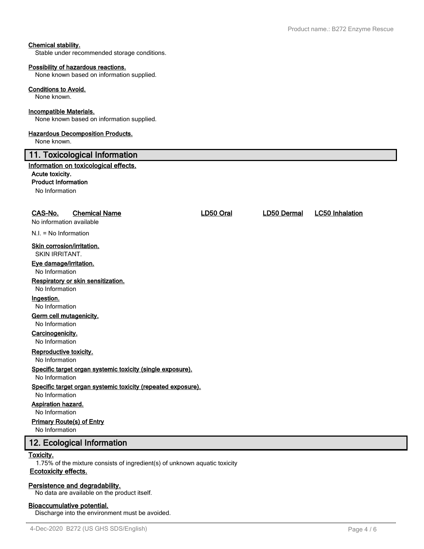### **Chemical stability.**

Stable under recommended storage conditions.

#### **Possibility of hazardous reactions.**

None known based on information supplied.

#### **Conditions to Avoid.**

None known.

### **Incompatible Materials.**

None known based on information supplied.

### **Hazardous Decomposition Products.**

None known.

# **11. Toxicological Information**

### **Information on toxicological effects.**

### **Acute toxicity.**

**Product Information**

No Information

# **CAS-No. Chemical Name LD50 Oral LD50 Dermal LC50 Inhalation**

No information available

N.I. = No Information

### **Skin corrosion/irritation.**

SKIN IRRITANT.

### **Eye damage/irritation.**

No Information

### **Respiratory or skin sensitization.**

No Information

### **Ingestion.**

No Information

### **Germ cell mutagenicity.**

No Information

#### **Carcinogenicity.** No Information

**Reproductive toxicity.**

No Information

### **Specific target organ systemic toxicity (single exposure).**

No Information

# **Specific target organ systemic toxicity (repeated exposure).**

No Information

# **Aspiration hazard.**

No Information

# **Primary Route(s) of Entry**

No Information

# **12. Ecological Information**

### **Toxicity.**

1.75% of the mixture consists of ingredient(s) of unknown aquatic toxicity **Ecotoxicity effects.**

### **Persistence and degradability.**

No data are available on the product itself.

### **Bioaccumulative potential.**

Discharge into the environment must be avoided.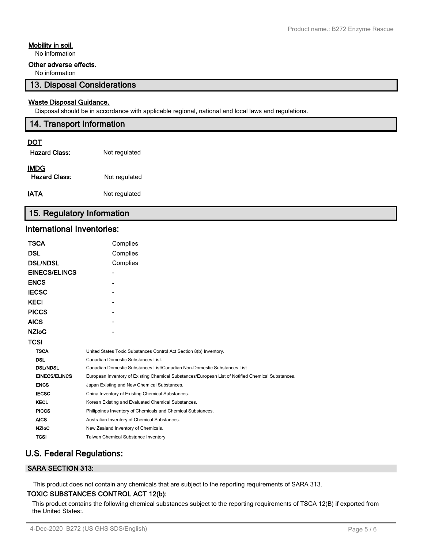### **Mobility in soil.**

No information

### **Other adverse effects.**

No information

## **13. Disposal Considerations**

### **Waste Disposal Guidance.**

Disposal should be in accordance with applicable regional, national and local laws and regulations.

# **14. Transport Information DOT Hazard Class:** Not regulated

| <b>IMDG</b>          |               |
|----------------------|---------------|
| <b>Hazard Class:</b> | Not regulated |
| <b>IATA</b>          | Not regulated |

# **15. Regulatory Information**

# **International Inventories:**

| TSCA                 | Complies                                                                                          |  |  |
|----------------------|---------------------------------------------------------------------------------------------------|--|--|
| DSL                  | Complies                                                                                          |  |  |
| <b>DSL/NDSL</b>      | Complies                                                                                          |  |  |
| <b>EINECS/ELINCS</b> |                                                                                                   |  |  |
| ENCS                 |                                                                                                   |  |  |
| IECSC                |                                                                                                   |  |  |
| KECI                 |                                                                                                   |  |  |
| <b>PICCS</b>         |                                                                                                   |  |  |
| AICS                 |                                                                                                   |  |  |
| NZIoC                |                                                                                                   |  |  |
| TCSI                 |                                                                                                   |  |  |
| <b>TSCA</b>          | United States Toxic Substances Control Act Section 8(b) Inventory.                                |  |  |
| <b>DSL</b>           | Canadian Domestic Substances List.                                                                |  |  |
| <b>DSL/NDSL</b>      | Canadian Domestic Substances List/Canadian Non-Domestic Substances List                           |  |  |
| <b>EINECS/ELINCS</b> | European Inventory of Existing Chemical Substances/European List of Notified Chemical Substances. |  |  |
| <b>ENCS</b>          | Japan Existing and New Chemical Substances.                                                       |  |  |
| <b>IECSC</b>         | China Inventory of Existing Chemical Substances.                                                  |  |  |
| <b>KECL</b>          | Korean Existing and Evaluated Chemical Substances.                                                |  |  |
| <b>PICCS</b>         | Philippines Inventory of Chemicals and Chemical Substances.                                       |  |  |
| <b>AICS</b>          | Australian Inventory of Chemical Substances.                                                      |  |  |
| <b>NZIoC</b>         | New Zealand Inventory of Chemicals.                                                               |  |  |
| <b>TCSI</b>          | <b>Taiwan Chemical Substance Inventory</b>                                                        |  |  |

# **U.S. Federal Regulations:**

### **SARA SECTION 313:**

This product does not contain any chemicals that are subject to the reporting requirements of SARA 313. **TOXIC SUBSTANCES CONTROL ACT 12(b):**

This product contains the following chemical substances subject to the reporting requirements of TSCA 12(B) if exported from the United States:.